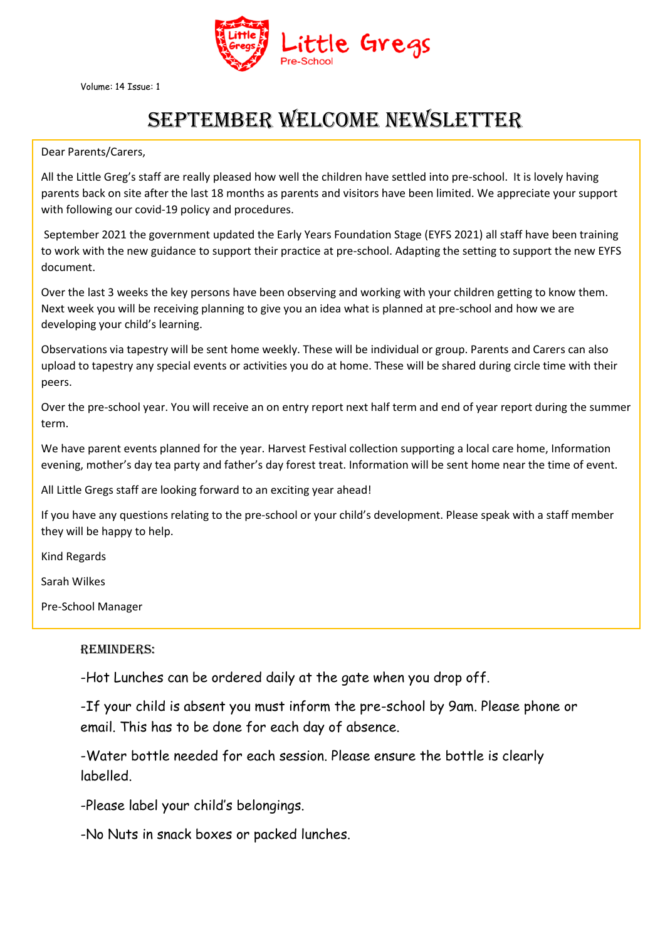

Volume: 14 Issue: 1

## September WELCOME NEWSLETTER

Dear Parents/Carers,

All the Little Greg's staff are really pleased how well the children have settled into pre-school. It is lovely having parents back on site after the last 18 months as parents and visitors have been limited. We appreciate your support with following our covid-19 policy and procedures.

September 2021 the government updated the Early Years Foundation Stage (EYFS 2021) all staff have been training to work with the new guidance to support their practice at pre-school. Adapting the setting to support the new EYFS document.

Over the last 3 weeks the key persons have been observing and working with your children getting to know them. Next week you will be receiving planning to give you an idea what is planned at pre-school and how we are developing your child's learning.

Observations via tapestry will be sent home weekly. These will be individual or group. Parents and Carers can also upload to tapestry any special events or activities you do at home. These will be shared during circle time with their peers.

Over the pre-school year. You will receive an on entry report next half term and end of year report during the summer term.

We have parent events planned for the year. Harvest Festival collection supporting a local care home, Information evening, mother's day tea party and father's day forest treat. Information will be sent home near the time of event.

All Little Gregs staff are looking forward to an exciting year ahead!

If you have any questions relating to the pre-school or your child's development. Please speak with a staff member they will be happy to help.

Kind Regards

Sarah Wilkes

Pre-School Manager

## Reminders:

-Hot Lunches can be ordered daily at the gate when you drop off.

-If your child is absent you must inform the pre-school by 9am. Please phone or email. This has to be done for each day of absence.

-Water bottle needed for each session. Please ensure the bottle is clearly labelled.

-Please label your child's belongings.

-No Nuts in snack boxes or packed lunches.